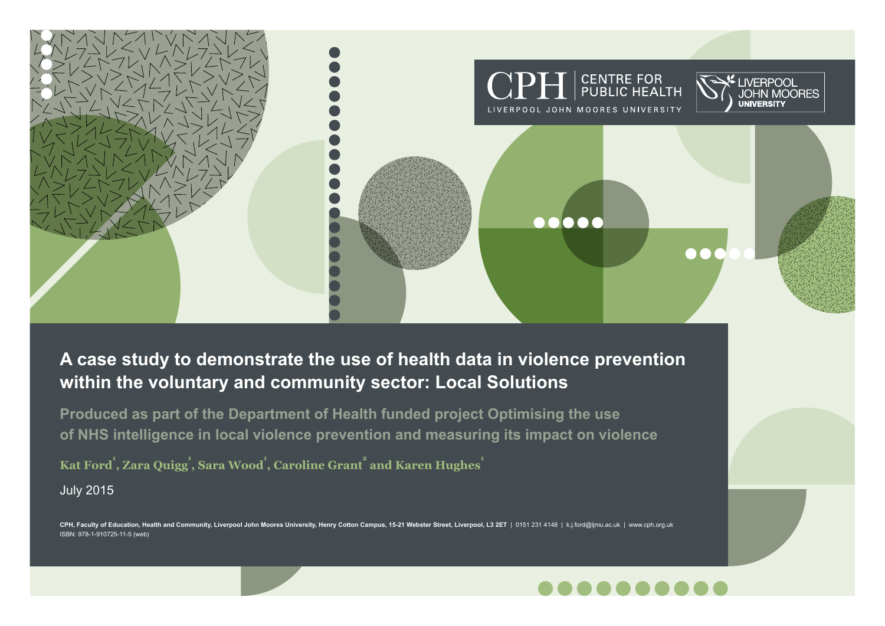

# **A case study to demonstrate the use of health data in violence prevention within the voluntary and community sector: Local Solutions**

**Produced as part of the Department of Health funded project Optimising the use of NHS intelligence in local violence prevention and measuring its impact on violence**

 $\bold{Kat Ford}^1, \bold{Zara Quigg}^1, \bold{Sara Wood}^1, \bold{Caroline Grant}^2, \bold{and Karen Hughes}^1$ July 2015

CPH, Faculty of Education, Health and Community, Liverpool John Moores University, Henry Cotton Campus, 15-21 Webster Street, Liverpool, L3 2ET | 0151 231 4148 | k.j.ford@ljmu.ac.uk | www.cph.org.uk ISBN: 978-1-910725-11-5 (web)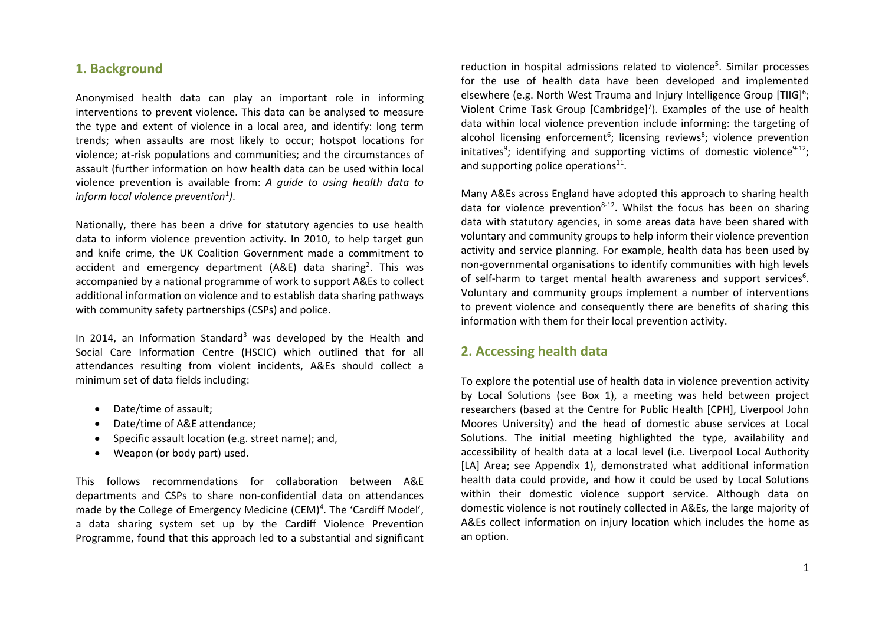### **1. Background**

Anonymised health data can play an important role in informing interventions to prevent violence. This data can be analysed to measure the type and extent of violence in <sup>a</sup> local area, and identify: long term trends; when assaults are most likely to occur; hotspot locations for violence; at-risk populations and communities; and the circumstances of assault (further information on how health data can be used within local violence prevention is available from: *A guide to using health data to inform local violence prevention*<sup>1</sup> *)*.

Nationally, there has been <sup>a</sup> drive for statutory agencies to use health data to inform violence prevention activity. In 2010, to help target gun and knife crime, the UK Coalition Government made <sup>a</sup> commitment to accident and emergency department (A&E) data sharing<sup>2</sup>. This was accompanied by <sup>a</sup> national programme of work to support A&Es to collect additional information on violence and to establish data sharing pathways with community safety partnerships (CSPs) and police.

In 2014, an Information Standard<sup>3</sup> was developed by the Health and Social Care Information Centre (HSCIC) which outlined that for all attendances resulting from violent incidents, A&Es should collect <sup>a</sup> minimum set of data fields including:

- Date/time of assault;
- $\bullet$ Date/time of A&E attendance;
- $\bullet$ Specific assault location (e.g. street name); and,
- $\bullet$ Weapon (or body part) used.

This follows recommendations for collaboration between A&E departments and CSPs to share non‐confidential data on attendances made by the College of Emergency Medicine (CEM)<sup>4</sup>. The 'Cardiff Model', a data sharing system set up by the Cardiff Violence Prevention Programme, found that this approach led to <sup>a</sup> substantial and significant

reduction in hospital admissions related to violence<sup>5</sup>. Similar processes for the use of health data have been developed and implemented elsewhere (e.g. North West Trauma and Injury Intelligence Group [TIIG]<sup>6</sup>; Violent Crime Task Group [Cambridge]<sup>7</sup>). Examples of the use of health data within local violence prevention include informing: the targeting of alcohol licensing enforcement<sup>6</sup>; licensing reviews<sup>8</sup>; violence prevention initatives<sup>9</sup>; identifying and supporting victims of domestic violence<sup>9-12</sup>; and supporting police operations<sup>11</sup>.

Many A&Es across England have adopted this approach to sharing health data for violence prevention<sup>8-12</sup>. Whilst the focus has been on sharing data with statutory agencies, in some areas data have been shared with voluntary and community groups to help inform their violence prevention activity and service planning. For example, health data has been used by non‐governmental organisations to identify communities with high levels of self-harm to target mental health awareness and support services<sup>6</sup>. Voluntary and community groups implement <sup>a</sup> number of interventions to prevent violence and consequently there are benefits of sharing this information with them for their local prevention activity.

#### **2. Accessing health data**

To explore the potential use of health data in violence prevention activity by Local Solutions (see Box 1), <sup>a</sup> meeting was held between project researchers (based at the Centre for Public Health [CPH], Liverpool John Moores University) and the head of domestic abuse services at Local Solutions. The initial meeting highlighted the type, availability and accessibility of health data at <sup>a</sup> local level (i.e. Liverpool Local Authority [LA] Area; see Appendix 1), demonstrated what additional information health data could provide, and how it could be used by Local Solutions within their domestic violence support service. Although data on domestic violence is not routinely collected in A&Es, the large majority of A&Es collect information on injury location which includes the home as an option.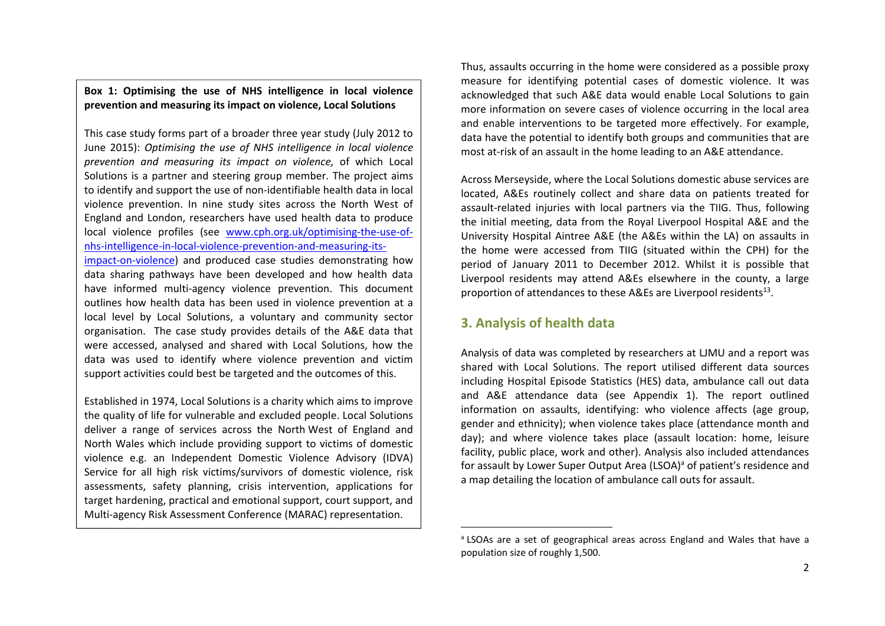#### **Box 1: Optimising the use of NHS intelligence in local violence prevention and measuring its impact on violence, Local Solutions**

This case study forms part of <sup>a</sup> broader three year study (July 2012 to June 2015): *Optimising the use of NHS intelligence in local violence prevention and measuring its impact on violence,* of which Local Solutions is a partner and steering group member. The project aims to identify and support the use of non‐identifiable health data in local violence prevention. In nine study sites across the North West of England and London, researchers have used health data to produce local violence profiles (see www.cph.org.uk/optimising-the-use-ofnhs‐intelligence‐in‐local‐violence‐prevention‐and‐measuring‐its‐ impact-on-violence) and produced case studies demonstrating how data sharing pathways have been developed and how health data

have informed multi‐agency violence prevention. This document outlines how health data has been used in violence prevention at <sup>a</sup> local level by Local Solutions, <sup>a</sup> voluntary and community sector organisation. The case study provides details of the A&E data that were accessed, analysed and shared with Local Solutions, how the data was used to identify where violence prevention and victim support activities could best be targeted and the outcomes of this.

Established in 1974, Local Solutions is <sup>a</sup> charity which aims to improve the quality of life for vulnerable and excluded people. Local Solutions deliver a range of services across the North West of England and North Wales which include providing support to victims of domestic violence e.g. an Independent Domestic Violence Advisory (IDVA) Service for all high risk victims/survivors of domestic violence, risk assessments, safety planning, crisis intervention, applications for target hardening, practical and emotional support, court support, and Multi‐agency Risk Assessment Conference (MARAC) representation.

Thus, assaults occurring in the home were considered as <sup>a</sup> possible proxy measure for identifying potential cases of domestic violence. It was acknowledged that such A&E data would enable Local Solutions to gain more information on severe cases of violence occurring in the local area and enable interventions to be targeted more effectively. For example, data have the potential to identify both groups and communities that are most at‐risk of an assault in the home leading to an A&E attendance.

Across Merseyside, where the Local Solutions domestic abuse services are located, A&Es routinely collect and share data on patients treated for assault‐related injuries with local partners via the TIIG. Thus, following the initial meeting, data from the Royal Liverpool Hospital A&E and the University Hospital Aintree A&E (the A&Es within the LA) on assaults in the home were accessed from TIIG (situated within the CPH) for the period of January 2011 to December 2012. Whilst it is possible that Liverpool residents may attend A&Es elsewhere in the county, <sup>a</sup> large proportion of attendances to these A&Es are Liverpool residents<sup>13</sup>.

### **3. Analysis of health data**

Analysis of data was completed by researchers at LJMU and <sup>a</sup> report was shared with Local Solutions. The report utilised different data sources including Hospital Episode Statistics (HES) data, ambulance call out data and A&E attendance data (see Appendix 1). The report outlined information on assaults, identifying: who violence affects (age group, gender and ethnicity); when violence takes place (attendance month and day); and where violence takes place (assault location: home, leisure facility, public place, work and other). Analysis also included attendances for assault by Lower Super Output Area (LSOA)<sup>a</sup> of patient's residence and a map detailing the location of ambulance call outs for assault.

<sup>&</sup>lt;sup>a</sup> LSOAs are a set of geographical areas across England and Wales that have a population size of roughly 1,500.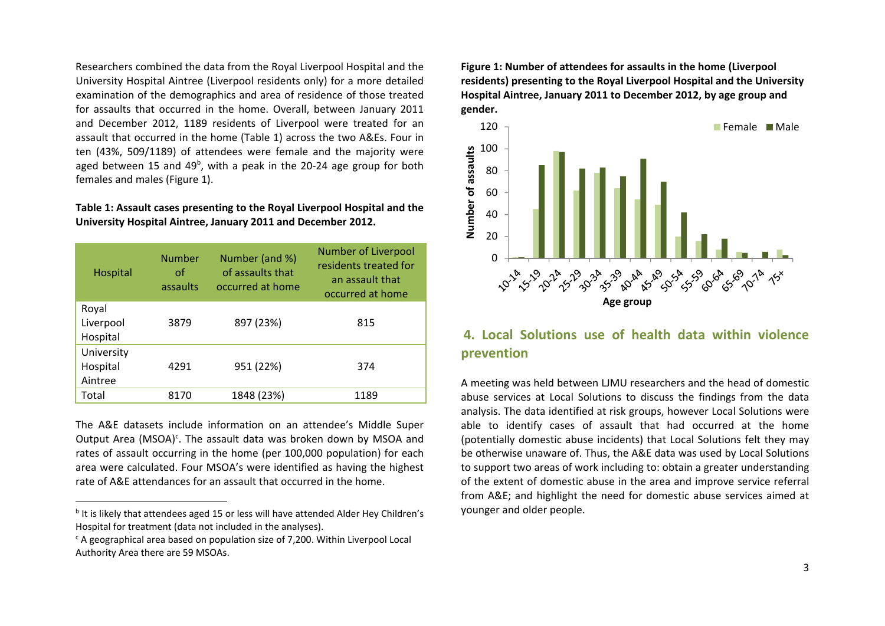Researchers combined the data from the Royal Liverpool Hospital and the University Hospital Aintree (Liverpool residents only) for <sup>a</sup> more detailed examination of the demographics and area of residence of those treated for assaults that occurred in the home. Overall, between January 2011 and December 2012, 1189 residents of Liverpool were treated for an assault that occurred in the home (Table 1) across the two A&Es. Four in ten (43%, 509/1189) of attendees were female and the majority were aged between 15 and 49<sup>b</sup>, with a peak in the 20-24 age group for both females and males (Figure 1).

#### **Table 1: Assault cases presenting to the Royal Liverpool Hospital and the University Hospital Aintree, January 2011 and December 2012.**

| Hospital                          | <b>Number</b><br>οf<br>assaults | Number (and %)<br>of assaults that<br>occurred at home | <b>Number of Liverpool</b><br>residents treated for<br>an assault that<br>occurred at home |
|-----------------------------------|---------------------------------|--------------------------------------------------------|--------------------------------------------------------------------------------------------|
| Royal<br>Liverpool<br>Hospital    | 3879                            | 897 (23%)                                              | 815                                                                                        |
| University<br>Hospital<br>Aintree | 4291                            | 951 (22%)                                              | 374                                                                                        |
| Total                             | 8170                            | 1848 (23%)                                             | 1189                                                                                       |

The A&E datasets include information on an attendee's Middle Super Output Area (MSOA)<sup>c</sup>. The assault data was broken down by MSOA and rates of assault occurring in the home (per 100,000 population) for each area were calculated. Four MSOA's were identified as having the highest rate of A&E attendances for an assault that occurred in the home.

**Figure 1: Number of attendees for assaults in the home (Liverpool residents) presenting to the Royal Liverpool Hospital and the University Hospital Aintree, January 2011 to December 2012, by age group and gender.**



### **4. Local Solutions use of health data within violence prevention**

A meeting was held between LJMU researchers and the head of domestic abuse services at Local Solutions to discuss the findings from the data analysis. The data identified at risk groups, however Local Solutions were able to identify cases of assault that had occurred at the home (potentially domestic abuse incidents) that Local Solutions felt they may be otherwise unaware of. Thus, the A&E data was used by Local Solutions to support two areas of work including to: obtain <sup>a</sup> greater understanding of the extent of domestic abuse in the area and improve service referral from A&E; and highlight the need for domestic abuse services aimed at younger and older people.

<sup>&</sup>lt;sup>b</sup> It is likely that attendees aged 15 or less will have attended Alder Hey Children's Hospital for treatment (data not included in the analyses).

 $\epsilon$  A geographical area based on population size of 7,200. Within Liverpool Local Authority Area there are 59 MSOAs.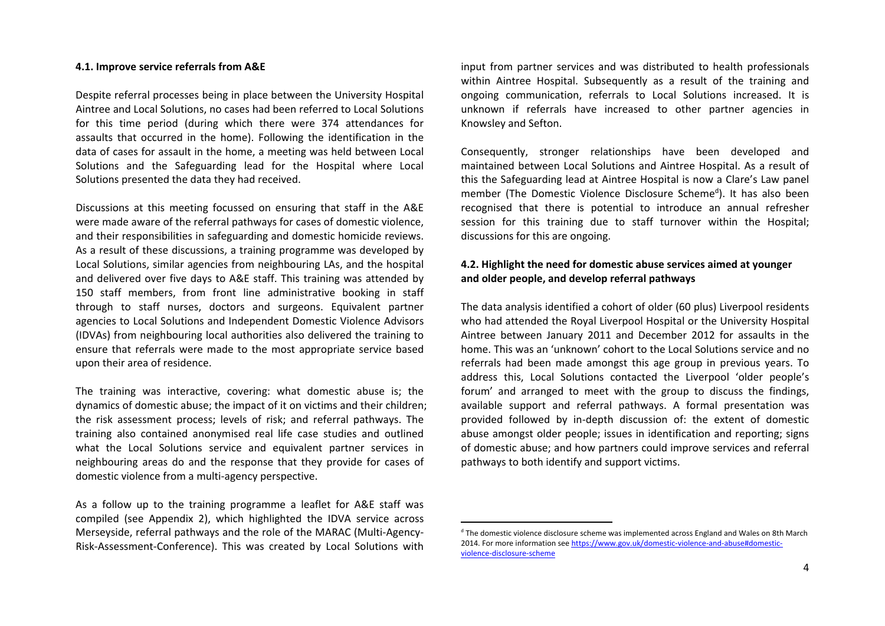#### **4.1. Improve service referrals from A&E**

Despite referral processes being in place between the University Hospital Aintree and Local Solutions, no cases had been referred to Local Solutions for this time period (during which there were 374 attendances for assaults that occurred in the home). Following the identification in the data of cases for assault in the home, <sup>a</sup> meeting was held between Local Solutions and the Safeguarding lead for the Hospital where Local Solutions presented the data they had received.

Discussions at this meeting focussed on ensuring that staff in the A&E were made aware of the referral pathways for cases of domestic violence, and their responsibilities in safeguarding and domestic homicide reviews. As a result of these discussions, <sup>a</sup> training programme was developed by Local Solutions, similar agencies from neighbouring LAs, and the hospital and delivered over five days to A&E staff. This training was attended by 150 staff members, from front line administrative booking in staff through to staff nurses, doctors and surgeons. Equivalent partner agencies to Local Solutions and Independent Domestic Violence Advisors (IDVAs) from neighbouring local authorities also delivered the training to ensure that referrals were made to the most appropriate service based upon their area of residence.

The training was interactive, covering: what domestic abuse is; the dynamics of domestic abuse; the impact of it on victims and their children; the risk assessment process; levels of risk; and referral pathways. The training also contained anonymised real life case studies and outlined what the Local Solutions service and equivalent partner services in neighbouring areas do and the response that they provide for cases of domestic violence from <sup>a</sup> multi‐agency perspective.

As a follow up to the training programme <sup>a</sup> leaflet for A&E staff was compiled (see Appendix 2), which highlighted the IDVA service across Merseyside, referral pathways and the role of the MARAC (Multi‐Agency‐ Risk‐Assessment‐Conference). This was created by Local Solutions with

input from partner services and was distributed to health professionals within Aintree Hospital. Subsequently as <sup>a</sup> result of the training and ongoing communication, referrals to Local Solutions increased. It is unknown if referrals have increased to other partner agencies in Knowsley and Sefton.

Consequently, stronger relationships have been developed and maintained between Local Solutions and Aintree Hospital. As <sup>a</sup> result of this the Safeguarding lead at Aintree Hospital is now <sup>a</sup> Clare's Law panel member (The Domestic Violence Disclosure Scheme<sup>d</sup>). It has also been recognised that there is potential to introduce an annual refresher session for this training due to staff turnover within the Hospital; discussions for this are ongoing.

#### **4.2. Highlight the need for domestic abuse services aimed at younger and older people, and develop referral pathways**

The data analysis identified <sup>a</sup> cohort of older (60 plus) Liverpool residents who had attended the Royal Liverpool Hospital or the University Hospital Aintree between January 2011 and December 2012 for assaults in the home. This was an 'unknown' cohort to the Local Solutions service and no referrals had been made amongst this age group in previous years. To address this, Local Solutions contacted the Liverpool 'older people's forum' and arranged to meet with the group to discuss the findings, available support and referral pathways. A formal presentation was provided followed by in‐depth discussion of: the extent of domestic abuse amongst older people; issues in identification and reporting; signs of domestic abuse; and how partners could improve services and referral pathways to both identify and support victims.

<sup>&</sup>lt;sup>d</sup> The domestic violence disclosure scheme was implemented across England and Wales on 8th March 2014. For more information see https://www.gov.uk/domestic-violence-and-abuse#domesticviolence‐disclosure‐scheme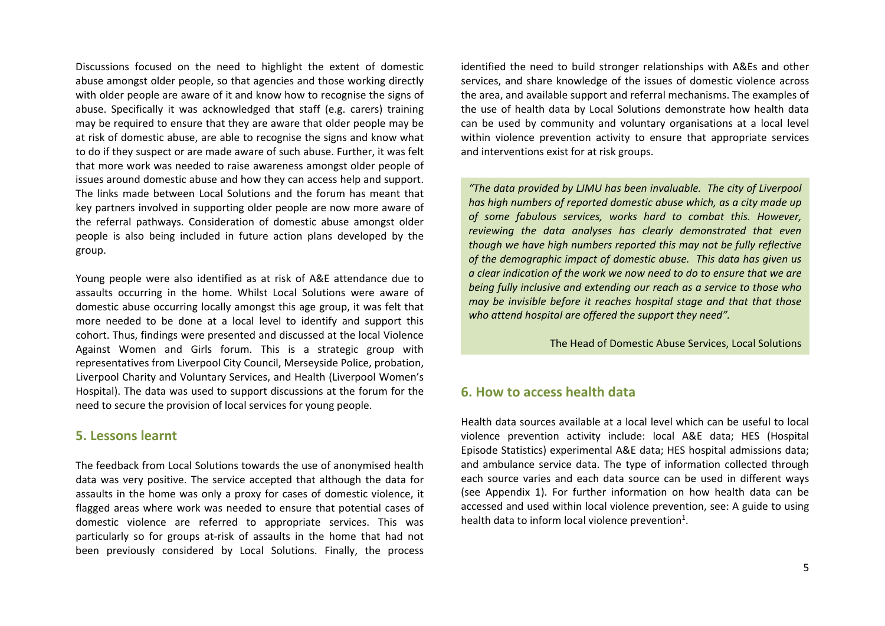Discussions focused on the need to highlight the extent of domestic abuse amongst older people, so that agencies and those working directly with older people are aware of it and know how to recognise the signs of abuse. Specifically it was acknowledged that staff (e.g. carers) training may be required to ensure that they are aware that older people may be at risk of domestic abuse, are able to recognise the signs and know what to do if they suspect or are made aware of such abuse. Further, it was felt that more work was needed to raise awareness amongst older people of issues around domestic abuse and how they can access help and support. The links made between Local Solutions and the forum has meant that key partners involved in supporting older people are now more aware of the referral pathways. Consideration of domestic abuse amongst older people is also being included in future action plans developed by the group.

Young people were also identified as at risk of A&E attendance due to assaults occurring in the home. Whilst Local Solutions were aware of domestic abuse occurring locally amongst this age group, it was felt that more needed to be done at <sup>a</sup> local level to identify and support this cohort. Thus, findings were presented and discussed at the local Violence Against Women and Girls forum. This is <sup>a</sup> strategic group with representatives from Liverpool City Council, Merseyside Police, probation, Liverpool Charity and Voluntary Services, and Health (Liverpool Women's Hospital). The data was used to support discussions at the forum for the need to secure the provision of local services for young people.

#### **5. Lessons learnt**

The feedback from Local Solutions towards the use of anonymised health data was very positive. The service accepted that although the data for assaults in the home was only <sup>a</sup> proxy for cases of domestic violence, it flagged areas where work was needed to ensure that potential cases of domestic violence are referred to appropriate services. This was particularly so for groups at-risk of assaults in the home that had not been previously considered by Local Solutions. Finally, the process

identified the need to build stronger relationships with A&Es and other services, and share knowledge of the issues of domestic violence across the area, and available support and referral mechanisms. The examples of the use of health data by Local Solutions demonstrate how health data can be used by community and voluntary organisations at <sup>a</sup> local level within violence prevention activity to ensure that appropriate services and interventions exist for at risk groups.

*"The data provided by LJMU has been invaluable. The city of Liverpool has high numbers of reported domestic abuse which, as a city made up of some fabulous services, works hard to combat this. However, reviewing the data analyses has clearly demonstrated that even though we have high numbers reported this may not be fully reflective of the demographic impact of domestic abuse. This data has given us a clear indication of the work we now need to do to ensure that we are being fully inclusive and extending our reach as a service to those who may be invisible before it reaches hospital stage and that that those who attend hospital are offered the support they need".*

#### The Head of Domestic Abuse Services, Local Solutions

#### **6. How to access health data**

Health data sources available at <sup>a</sup> local level which can be useful to local violence prevention activity include: local A&E data; HES (Hospital Episode Statistics) experimental A&E data; HES hospital admissions data; and ambulance service data. The type of information collected through each source varies and each data source can be used in different ways (see Appendix 1). For further information on how health data can be accessed and used within local violence prevention, see: A guide to using health data to inform local violence prevention $^{1}$ .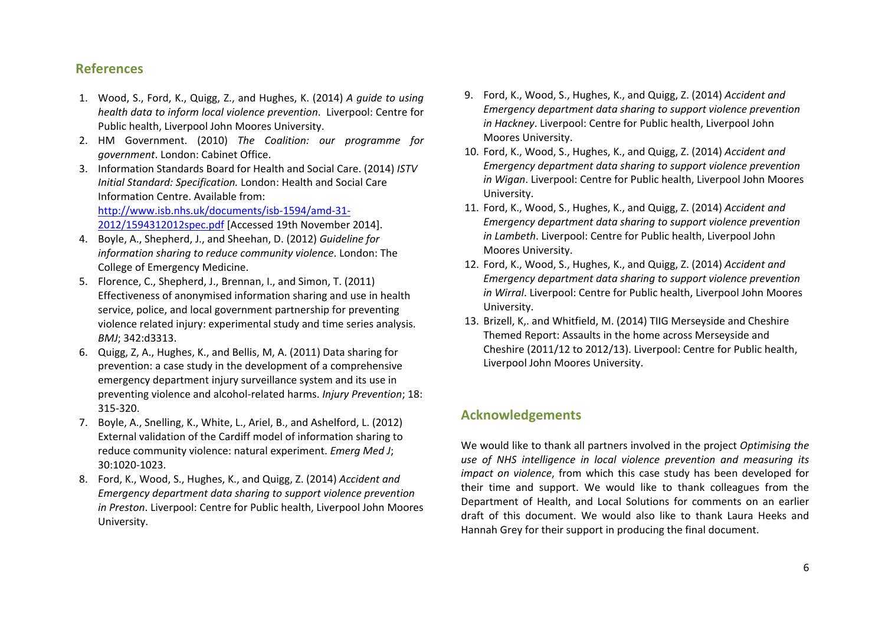### **References**

- 1. Wood, S., Ford, K., Quigg, Z., and Hughes, K. (2014) *A guide to using health data to inform local violence prevention*. Liverpool: Centre for Public health, Liverpool John Moores University.
- 2. HM Government. (2010) *The Coalition: our programme for government*. London: Cabinet Office.
- 3. Information Standards Board for Health and Social Care. (2014) *ISTV Initial Standard: Specification.* London: Health and Social Care Information Centre. Available from: http://www.isb.nhs.uk/documents/isb‐1594/amd‐31‐ 2012/1594312012spec.pdf [Accessed 19th November 2014].
- 4. Boyle, A., Shepherd, J., and Sheehan, D. (2012) *Guideline for information sharing to reduce community violence*. London: The College of Emergency Medicine.
- 5. Florence, C., Shepherd, J., Brennan, I., and Simon, T. (2011) Effectiveness of anonymised information sharing and use in health service, police, and local government partnership for preventing violence related injury: experimental study and time series analysis. *BMJ*; 342:d3313.
- 6. Quigg, Z, A., Hughes, K., and Bellis, M, A. (2011) Data sharing for prevention: <sup>a</sup> case study in the development of <sup>a</sup> comprehensive emergency department injury surveillance system and its use in preventing violence and alcohol‐related harms. *Injury Prevention*; 18: 315‐320.
- 7. Boyle, A., Snelling, K., White, L., Ariel, B., and Ashelford, L. (2012) External validation of the Cardiff model of information sharing to reduce community violence: natural experiment. *Emerg Med J*; 30:1020‐1023.
- 8. Ford, K., Wood, S., Hughes, K., and Quigg, Z. (2014) *Accident and Emergency department data sharing to support violence prevention in Preston*. Liverpool: Centre for Public health, Liverpool John Moores University.
- 9. Ford, K., Wood, S., Hughes, K., and Quigg, Z. (2014) *Accident and Emergency department data sharing to support violence prevention in Hackney*. Liverpool: Centre for Public health, Liverpool John Moores University.
- 10. Ford, K., Wood, S., Hughes, K., and Quigg, Z. (2014) *Accident and Emergency department data sharing to support violence prevention in Wigan*. Liverpool: Centre for Public health, Liverpool John Moores University.
- 11. Ford, K., Wood, S., Hughes, K., and Quigg, Z. (2014) *Accident and Emergency department data sharing to support violence prevention in Lambeth*. Liverpool: Centre for Public health, Liverpool John Moores University.
- 12. Ford, K., Wood, S., Hughes, K., and Quigg, Z. (2014) *Accident and Emergency department data sharing to support violence prevention in Wirral*. Liverpool: Centre for Public health, Liverpool John Moores University.
- 13. Brizell, K,. and Whitfield, M. (2014) TIIG Merseyside and Cheshire Themed Report: Assaults in the home across Merseyside and Cheshire (2011/12 to 2012/13). Liverpool: Centre for Public health, Liverpool John Moores University.

### **Acknowledgements**

We would like to thank all partners involved in the project *Optimising the use of NHS intelligence in local violence prevention and measuring its impact on violence*, from which this case study has been developed for their time and support. We would like to thank colleagues from the Department of Health, and Local Solutions for comments on an earlier draft of this document. We would also like to thank Laura Heeks and Hannah Grey for their support in producing the final document.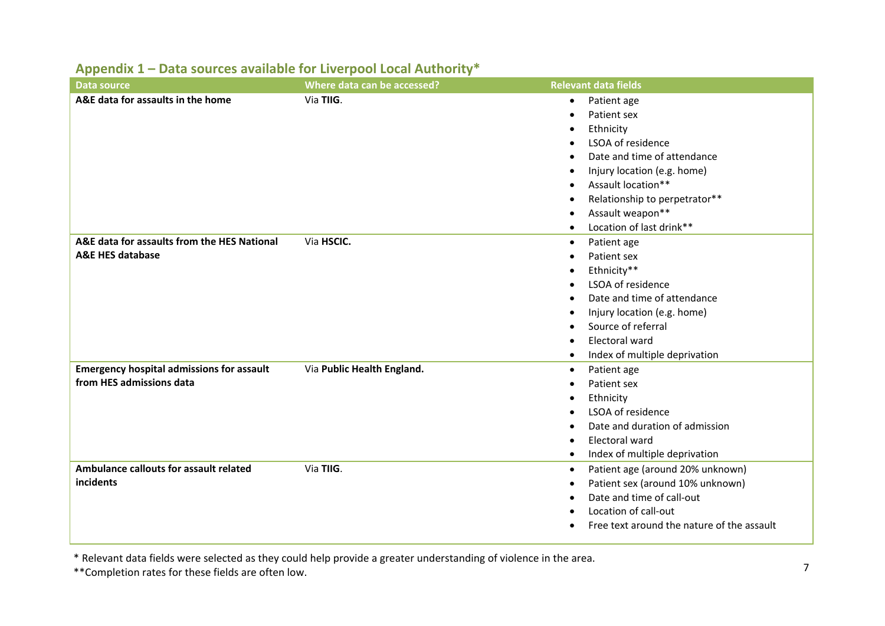| Data source                                      | Where data can be accessed? | <b>Relevant data fields</b>                             |
|--------------------------------------------------|-----------------------------|---------------------------------------------------------|
| A&E data for assaults in the home                | Via TIIG.                   | Patient age<br>$\bullet$                                |
|                                                  |                             | Patient sex                                             |
|                                                  |                             | Ethnicity<br>$\bullet$                                  |
|                                                  |                             | LSOA of residence                                       |
|                                                  |                             | Date and time of attendance                             |
|                                                  |                             | Injury location (e.g. home)                             |
|                                                  |                             | Assault location**<br>$\bullet$                         |
|                                                  |                             | Relationship to perpetrator**<br>$\bullet$              |
|                                                  |                             | Assault weapon**<br>$\bullet$                           |
|                                                  |                             | Location of last drink**<br>$\bullet$                   |
| A&E data for assaults from the HES National      | Via HSCIC.                  | Patient age<br>$\bullet$                                |
| <b>A&amp;E HES database</b>                      |                             | Patient sex                                             |
|                                                  |                             | Ethnicity**<br>$\bullet$                                |
|                                                  |                             | LSOA of residence<br>$\bullet$                          |
|                                                  |                             | Date and time of attendance<br>٠                        |
|                                                  |                             | Injury location (e.g. home)<br>$\bullet$                |
|                                                  |                             | Source of referral                                      |
|                                                  |                             | Electoral ward                                          |
|                                                  |                             | Index of multiple deprivation<br>$\bullet$              |
| <b>Emergency hospital admissions for assault</b> | Via Public Health England.  | Patient age<br>$\bullet$                                |
| from HES admissions data                         |                             | Patient sex<br>$\bullet$                                |
|                                                  |                             | Ethnicity                                               |
|                                                  |                             | LSOA of residence<br>$\bullet$                          |
|                                                  |                             | Date and duration of admission<br>٠                     |
|                                                  |                             | Electoral ward                                          |
|                                                  |                             | Index of multiple deprivation<br>$\bullet$              |
| Ambulance callouts for assault related           | Via TIIG.                   | Patient age (around 20% unknown)<br>$\bullet$           |
| incidents                                        |                             | Patient sex (around 10% unknown)<br>$\bullet$           |
|                                                  |                             | Date and time of call-out<br>$\bullet$                  |
|                                                  |                             | Location of call-out<br>٠                               |
|                                                  |                             | Free text around the nature of the assault<br>$\bullet$ |

## **Appendix 1 – Data sources available for Liverpool Local Authority\***

\* Relevant data fields were selected as they could help provide <sup>a</sup> greater understanding of violence in the area.

\*\*Completion rates for these fields are often low.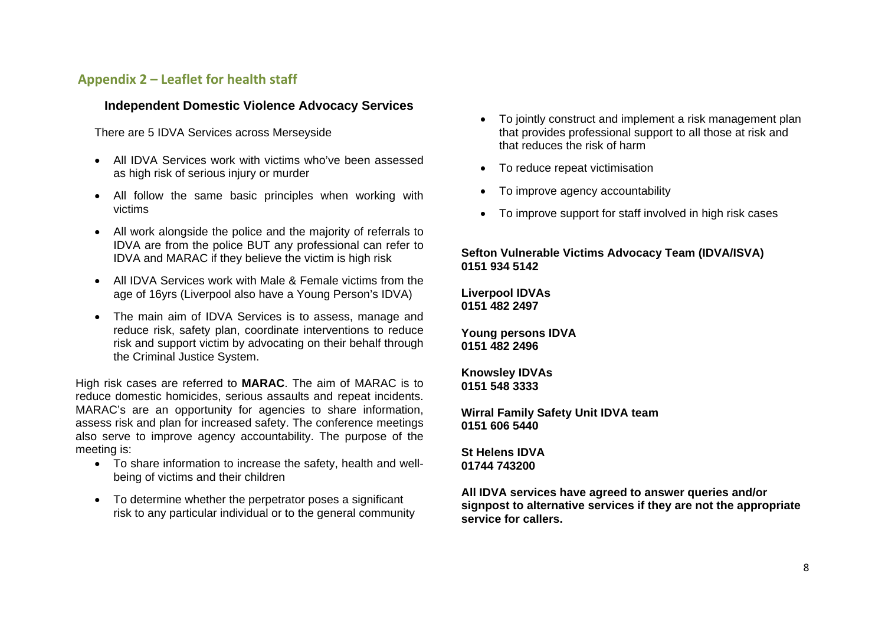### **Appendix 2 – Leaflet for health staff**

#### **Independent Domestic Violence Advocacy Services**

There are 5 IDVA Services across Merseyside

- All IDVA Services work with victims who've been assessed as high risk of serious injury or murder
- All follow the same basic principles when working with victims
- All work alongside the police and the majority of referrals to IDVA are from the police BUT any professional can refer to IDVA and MARAC if they believe the victim is high risk
- All IDVA Services work with Male & Female victims from the age of 16yrs (Liverpool also have a Young Person's IDVA)
- The main aim of IDVA Services is to assess, manage and reduce risk, safety plan, coordinate interventions to reduce risk and support victim by advocating on their behalf through the Criminal Justice System.

High risk cases are referred to **MARAC**. The aim of MARAC is to reduce domestic homicides, serious assaults and repeat incidents. MARAC's are an opportunity for agencies to share information, assess risk and plan for increased safety. The conference meetings also serve to improve agency accountability. The purpose of the meeting is:

- To share information to increase the safety, health and wellbeing of victims and their children
- To determine whether the perpetrator poses a significant risk to any particular individual or to the general community
- To jointly construct and implement a risk management plan that provides professional support to all those at risk and that reduces the risk of harm
- To reduce repeat victimisation
- To improve agency accountability
- To improve support for staff involved in high risk cases

### **Sefton Vulnerable Victims Advocacy Team (IDVA/ISVA) 0151 934 5142**

**Liverpool IDVAs 0151 482 2497** 

**Young persons IDVA 0151 482 2496** 

**Knowsley IDVAs 0151 548 3333** 

**Wirral Family Safety Unit IDVA team 0151 606 5440** 

**St Helens IDVA 01744 743200** 

**All IDVA services have agreed to answer queries and/or signpost to alternative services if they are not the appropriate service for callers.**